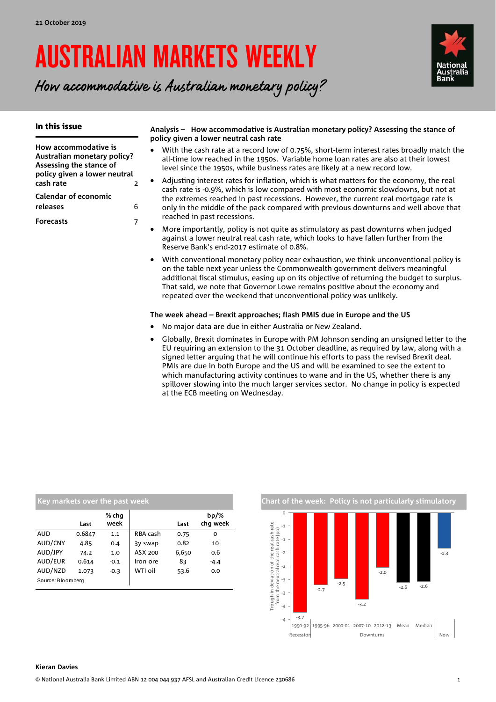# AUSTRALIAN MARKETS WEEKLY

How accommodative is Australian monetary policy?



| In this issue                                                                  |   | Analysis - How accommodative is Australian monetary policy? Assessing the stance of<br>policy given a lower neutral cash rate                                                                                                                                   |
|--------------------------------------------------------------------------------|---|-----------------------------------------------------------------------------------------------------------------------------------------------------------------------------------------------------------------------------------------------------------------|
| How accommodative is<br>Australian monetary policy?<br>Assessing the stance of |   | With the cash rate at a record low of 0.75%, short-term interest rates broadly match the<br>all-time low reached in the 1950s. Variable home loan rates are also at their lowest<br>level since the 1950s, while business rates are likely at a new record low. |
| policy given a lower neutral<br>cash rate                                      | 2 | Adjusting interest rates for inflation, which is what matters for the economy, the real                                                                                                                                                                         |
| <b>Calendar of economic</b>                                                    |   | cash rate is -0.9%, which is low compared with most economic slowdowns, but not at<br>the extremes reached in past recessions. However, the current real mortgage rate is                                                                                       |
| releases                                                                       | 6 | only in the middle of the pack compared with previous downturns and well above that                                                                                                                                                                             |
| <b>Forecasts</b>                                                               |   | reached in past recessions.                                                                                                                                                                                                                                     |
|                                                                                |   | More importantly, policy is not quite as stimulatory as past downturns when judged<br>against a lower neutral real cash rate, which looks to have fallen further from the<br>Reserve Bank's end-2017 estimate of 0.8%.                                          |

 With conventional monetary policy near exhaustion, we think unconventional policy is on the table next year unless the Commonwealth government delivers meaningful additional fiscal stimulus, easing up on its objective of returning the budget to surplus. That said, we note that Governor Lowe remains positive about the economy and repeated over the weekend that unconventional policy was unlikely.

#### **The week ahead – Brexit approaches; flash PMIS due in Europe and the US**

- No major data are due in either Australia or New Zealand.
- Globally, Brexit dominates in Europe with PM Johnson sending an unsigned letter to the EU requiring an extension to the 31 October deadline, as required by law, along with a signed letter arguing that he will continue his efforts to pass the revised Brexit deal. PMIs are due in both Europe and the US and will be examined to see the extent to which manufacturing activity continues to wane and in the US, whether there is any spillover slowing into the much larger services sector. No change in policy is expected at the ECB meeting on Wednesday.

| Key markets over the past week |        |               |          |       |                     |  |  |  |  |  |  |
|--------------------------------|--------|---------------|----------|-------|---------------------|--|--|--|--|--|--|
|                                | Last   | % chg<br>week |          | Last  | $bp/\%$<br>chq week |  |  |  |  |  |  |
| <b>AUD</b>                     | 0.6847 | 1.1           | RBA cash | 0.75  | 0                   |  |  |  |  |  |  |
| AUD/CNY                        | 4.85   | 0.4           | 3y swap  | 0.82  | 10                  |  |  |  |  |  |  |
| AUD/JPY                        | 74.2   | 1.0           | ASX 200  | 6,650 | 0.6                 |  |  |  |  |  |  |
| AUD/EUR                        | 0.614  | $-0.1$        | Iron ore | 83    | $-4.4$              |  |  |  |  |  |  |
| AUD/NZD                        | 1.073  | $-0.3$        | WTI oil  | 53.6  | 0.0                 |  |  |  |  |  |  |
| Source: Bloomberg              |        |               |          |       |                     |  |  |  |  |  |  |

**Chart of the week: Policy is not particularly stimulatory** 

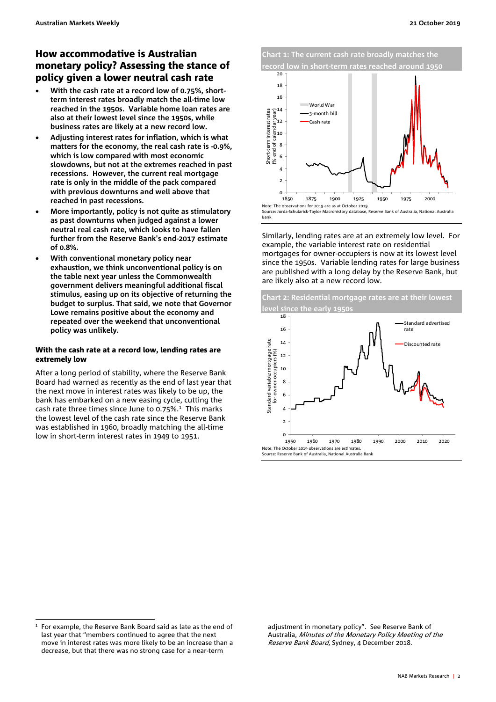#### How accommodative is Australian monetary policy? Assessing the stance of policy given a lower neutral cash rate

- **With the cash rate at a record low of 0.75%, shortterm interest rates broadly match the all-time low reached in the 1950s. Variable home loan rates are also at their lowest level since the 1950s, while business rates are likely at a new record low.**
- **Adjusting interest rates for inflation, which is what matters for the economy, the real cash rate is -0.9%, which is low compared with most economic slowdowns, but not at the extremes reached in past recessions. However, the current real mortgage rate is only in the middle of the pack compared with previous downturns and well above that reached in past recessions.**
- **More importantly, policy is not quite as stimulatory as past downturns when judged against a lower neutral real cash rate, which looks to have fallen further from the Reserve Bank's end-2017 estimate of 0.8%.**
- **With conventional monetary policy near exhaustion, we think unconventional policy is on the table next year unless the Commonwealth government delivers meaningful additional fiscal stimulus, easing up on its objective of returning the budget to surplus. That said, we note that Governor Lowe remains positive about the economy and repeated over the weekend that unconventional policy was unlikely.**

#### With the cash rate at a record low, lending rates are extremely low

After a long period of stability, where the Reserve Bank Board had warned as recently as the end of last year that the next move in interest rates was likely to be up, the bank has embarked on a new easing cycle, cutting the cash rate three times since June to  $0.75\%$ .<sup>1</sup> This marks the lowest level of the cash rate since the Reserve Bank was established in 1960, broadly matching the all-time low in short-term interest rates in 1949 to 1951.

**Chart 1: The current cash rate broadly matches the record low in short-term rates reached around 1950** 



Source: Jorda-Schularick-Taylor Macrohistory database, Reserve Bank of Australia, National Australia Bank

Similarly, lending rates are at an extremely low level. For example, the variable interest rate on residential mortgages for owner-occupiers is now at its lowest level since the 1950s. Variable lending rates for large business are published with a long delay by the Reserve Bank, but are likely also at a new record low.



adjustment in monetary policy". See Reserve Bank of Australia, Minutes of the Monetary Policy Meeting of the Reserve Bank Board, Sydney, 4 December 2018.

j 1 For example, the Reserve Bank Board said as late as the end of last year that "members continued to agree that the next move in interest rates was more likely to be an increase than a decrease, but that there was no strong case for a near-term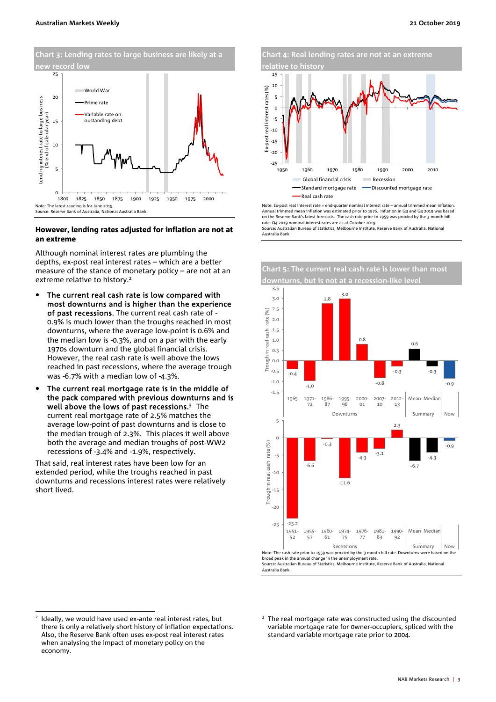

#### However, lending rates adjusted for inflation are not at an extreme

Although nominal interest rates are plumbing the depths, ex-post real interest rates – which are a better measure of the stance of monetary policy – are not at an extreme relative to history.2

- The current real cash rate is low compared with most downturns and is higher than the experience of past recessions. The current real cash rate of - 0.9% is much lower than the troughs reached in most downturns, where the average low-point is 0.6% and the median low is -0.3%, and on a par with the early 1970s downturn and the global financial crisis. However, the real cash rate is well above the lows reached in past recessions, where the average trough was -6.7% with a median low of -4.3%.
- The current real mortgage rate is in the middle of the pack compared with previous downturns and is well above the lows of past recessions.<sup>3</sup> The current real mortgage rate of 2.5% matches the average low-point of past downturns and is close to the median trough of 2.3%. This places it well above both the average and median troughs of post-WW2 recessions of -3.4% and -1.9%, respectively.

That said, real interest rates have been low for an extended period, while the troughs reached in past downturns and recessions interest rates were relatively short lived.

**Chart 4: Real lending rates are not at an extreme relative to histor** 



Note: Ex-post real interest rate = end-quarter nominal interest rate – annual trimmed mean inflation. Annual trimmed mean inflation was estimated prior to 1976. Inflation in Q3 and Q4 2019 was based on the Reserve Bank's latest forecasts. The cash rate prior to 1959 was proxied by the 3-month bill rate. Q4 2019 nominal interest rates are as at October 2019. Source: Australian Bureau of Statistics, Melbourne Institute, Reserve Bank of Australia, National

Australia Bank



Australia Bank

<sup>2</sup> Ideally, we would have used ex-ante real interest rates, but there is only a relatively short history of inflation expectations. Also, the Reserve Bank often uses ex-post real interest rates when analysing the impact of monetary policy on the economy.

 $\overline{a}$ 

<sup>&</sup>lt;sup>3</sup> The real mortgage rate was constructed using the discounted variable mortgage rate for 0wner-occupiers, spliced with the standard variable mortgage rate prior to 2004.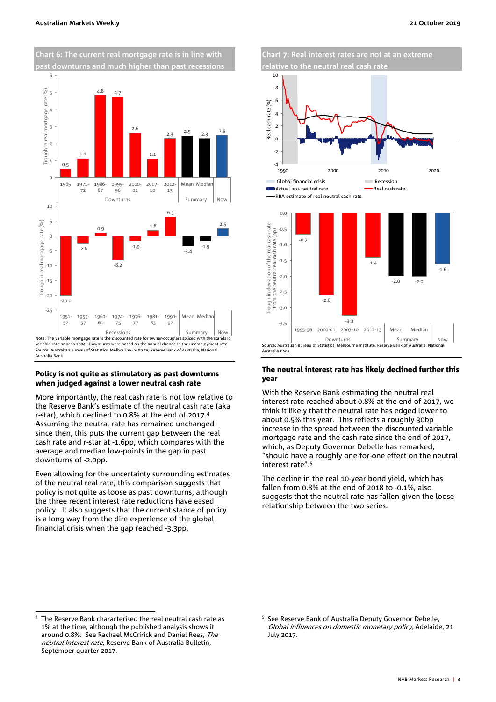

#### Policy is not quite as stimulatory as past downturns when judged against a lower neutral cash rate

More importantly, the real cash rate is not low relative to the Reserve Bank's estimate of the neutral cash rate (aka r-star), which declined to 0.8% at the end of 2017.4 Assuming the neutral rate has remained unchanged since then, this puts the current gap between the real cash rate and r-star at -1.6pp, which compares with the average and median low-points in the gap in past downturns of -2.0pp.

Even allowing for the uncertainty surrounding estimates of the neutral real rate, this comparison suggests that policy is not quite as loose as past downturns, although the three recent interest rate reductions have eased policy. It also suggests that the current stance of policy is a long way from the dire experience of the global financial crisis when the gap reached -3.3pp.



#### The neutral interest rate has likely declined further this year

With the Reserve Bank estimating the neutral real interest rate reached about 0.8% at the end of 2017, we think it likely that the neutral rate has edged lower to about 0.5% this year. This reflects a roughly 30bp increase in the spread between the discounted variable mortgage rate and the cash rate since the end of 2017, which, as Deputy Governor Debelle has remarked, "should have a roughly one-for-one effect on the neutral interest rate".5

The decline in the real 10-year bond yield, which has fallen from 0.8% at the end of 2018 to -0.1%, also suggests that the neutral rate has fallen given the loose relationship between the two series.

 $\overline{a}$ 

<sup>4</sup> The Reserve Bank characterised the real neutral cash rate as 1% at the time, although the published analysis shows it around 0.8%. See Rachael McCririck and Daniel Rees, The neutral interest rate, Reserve Bank of Australia Bulletin, September quarter 2017.

<sup>5</sup> See Reserve Bank of Australia Deputy Governor Debelle, Global influences on domestic monetary policy, Adelaide, 21 July 2017.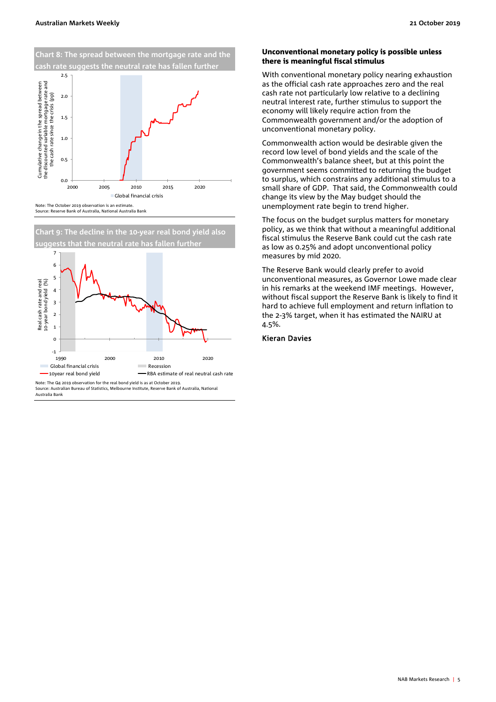

Note: The October 2019 observation is an estimate.  $0.0 \begin{array}{c} 0.0 \ 2000 \end{array}$ 2000 2005 2010 2015 2020 Global financial crisis

Source: Reserve Bank of Australia, National Australia Bank

**Chart 9: The decline in the 10-year real bond yield also**  that the neutral rate has fallen furthe



Source: Australian Bureau of Statistics, Melbourne Institute, Reserve Bank of Australia, National Australia Bank

#### Unconventional monetary policy is possible unless there is meaningful fiscal stimulus

With conventional monetary policy nearing exhaustion as the official cash rate approaches zero and the real cash rate not particularly low relative to a declining neutral interest rate, further stimulus to support the economy will likely require action from the Commonwealth government and/or the adoption of unconventional monetary policy.

Commonwealth action would be desirable given the record low level of bond yields and the scale of the Commonwealth's balance sheet, but at this point the government seems committed to returning the budget to surplus, which constrains any additional stimulus to a small share of GDP. That said, the Commonwealth could change its view by the May budget should the unemployment rate begin to trend higher.

The focus on the budget surplus matters for monetary policy, as we think that without a meaningful additional fiscal stimulus the Reserve Bank could cut the cash rate as low as 0.25% and adopt unconventional policy measures by mid 2020.

The Reserve Bank would clearly prefer to avoid unconventional measures, as Governor Lowe made clear in his remarks at the weekend IMF meetings. However, without fiscal support the Reserve Bank is likely to find it hard to achieve full employment and return inflation to the 2-3% target, when it has estimated the NAIRU at 4.5%.

#### Kieran Davies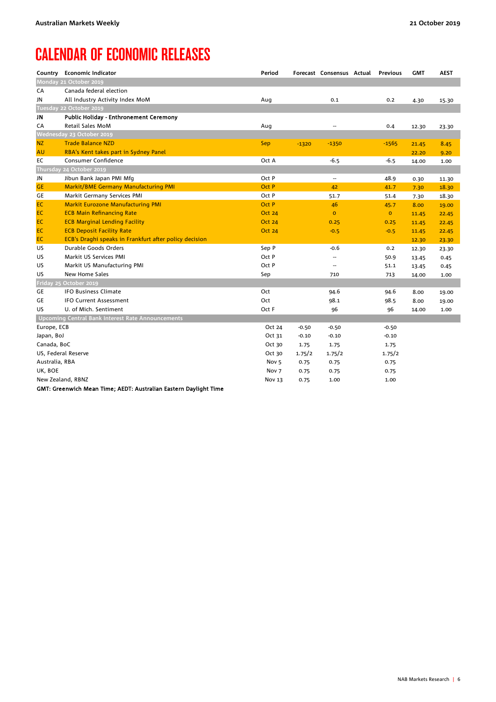## CALENDAR OF ECONOMIC RELEASES

|                | Country Economic Indicator                             | Period           |         | Forecast Consensus Actual Previous |                | <b>GMT</b> | <b>AEST</b> |
|----------------|--------------------------------------------------------|------------------|---------|------------------------------------|----------------|------------|-------------|
|                | Monday 21 October 2019                                 |                  |         |                                    |                |            |             |
| CA             | Canada federal election                                |                  |         |                                    |                |            |             |
| JN             | All Industry Activity Index MoM                        | Aug              |         | 0.1                                | 0.2            | 4.30       | 15.30       |
|                | Tuesday 22 October 2019                                |                  |         |                                    |                |            |             |
| JN             | <b>Public Holiday - Enthronement Ceremony</b>          |                  |         |                                    |                |            |             |
| CA             | <b>Retail Sales MoM</b>                                | Aug              |         | ٠.                                 | 0.4            | 12.30      | 23.30       |
|                | Wednesday 23 October 2019                              |                  |         |                                    |                |            |             |
| <b>NZ</b>      | <b>Trade Balance NZD</b>                               | Sep              | $-1320$ | $-1350$                            | -1565          | 21.45      | 8.45        |
| <b>AU</b>      | RBA's Kent takes part in Sydney Panel                  |                  |         |                                    |                | 22.20      | 9.20        |
| EC             | Consumer Confidence                                    | Oct A            |         | $-6.5$                             | $-6.5$         | 14.00      | 1.00        |
|                | Thursday 24 October 2019                               |                  |         |                                    |                |            |             |
| JN             | Jibun Bank Japan PMI Mfg                               | Oct P            |         | --                                 | 48.9           | 0.30       | 11.30       |
| <b>GE</b>      | <b>Markit/BME Germany Manufacturing PMI</b>            | Oct P            |         | 42                                 | 41.7           | 7.30       | 18.30       |
| GE             | Markit Germany Services PMI                            | Oct P            |         | 51.7                               | 51.4           | 7.30       | 18.30       |
| EC             | <b>Markit Eurozone Manufacturing PMI</b>               | Oct P            |         | 46                                 | 45.7           | 8.00       | 19.00       |
| EC             | <b>ECB Main Refinancing Rate</b>                       | <b>Oct 24</b>    |         | $\overline{O}$                     | $\overline{0}$ | 11.45      | 22.45       |
| EC             | <b>ECB Marginal Lending Facility</b>                   | <b>Oct 24</b>    |         | 0.25                               | 0.25           | 11.45      | 22.45       |
| EC             | <b>ECB Deposit Facility Rate</b>                       | <b>Oct 24</b>    |         | $-0.5$                             | $-0.5$         | 11.45      | 22.45       |
| <b>EC</b>      | ECB's Draghi speaks in Frankfurt after policy decision |                  |         |                                    |                | 12.30      | 23.30       |
| US             | Durable Goods Orders                                   | Sep P            |         | $-0.6$                             | 0.2            | 12.30      | 23.30       |
| US             | Markit US Services PMI                                 | Oct P            |         | --                                 | 50.9           | 13.45      | 0.45        |
| US             | Markit US Manufacturing PMI                            | Oct P            |         | $\overline{a}$                     | 51.1           | 13.45      | 0.45        |
| US.            | New Home Sales                                         | Sep              |         | 710                                | 713            | 14.00      | 1.00        |
|                | Friday 25 October 2019                                 |                  |         |                                    |                |            |             |
| GE             | <b>IFO Business Climate</b>                            | Oct              |         | 94.6                               | 94.6           | 8.00       | 19.00       |
| GE             | <b>IFO Current Assessment</b>                          | Oct              |         | 98.1                               | 98.5           | 8.00       | 19.00       |
| US.            | U. of Mich. Sentiment                                  | Oct F            |         | 96                                 | 96             | 14.00      | 1.00        |
|                | Upcoming Central Bank Interest Rate Announcements      |                  |         |                                    |                |            |             |
| Europe, ECB    |                                                        | Oct 24           | $-0.50$ | $-0.50$                            | $-0.50$        |            |             |
| Japan, BoJ     |                                                        | Oct 31           | $-0.10$ | $-0.10$                            | $-0.10$        |            |             |
| Canada, BoC    |                                                        | Oct 30           | 1.75    | 1.75                               | 1.75           |            |             |
|                | US, Federal Reserve                                    | Oct 30           | 1.75/2  | 1.75/2                             | 1.75/2         |            |             |
| Australia, RBA |                                                        | Nov <sub>5</sub> | 0.75    | 0.75                               | 0.75           |            |             |
| UK, BOE        |                                                        | Nov <sub>7</sub> | 0.75    | 0.75                               | 0.75           |            |             |
|                | New Zealand, RBNZ                                      | <b>Nov 13</b>    | 0.75    | 1.00                               | 1.00           |            |             |

GMT: Greenwich Mean Time; AEDT: Australian Eastern Daylight Time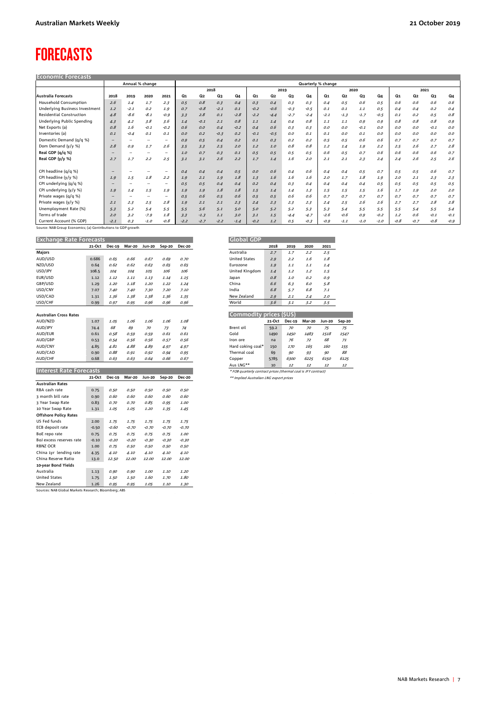### FORECASTS

| <b>Economic Forecasts</b>       |                          |                          |                          |                          |        |                    |        |        |                |        |        |        |        |        |        |        |                |        |        |        |
|---------------------------------|--------------------------|--------------------------|--------------------------|--------------------------|--------|--------------------|--------|--------|----------------|--------|--------|--------|--------|--------|--------|--------|----------------|--------|--------|--------|
|                                 |                          |                          | Annual % change          |                          |        | Quarterly % change |        |        |                |        |        |        |        |        |        |        |                |        |        |        |
|                                 |                          |                          |                          |                          |        |                    | 2018   |        | 2019           |        |        | 2020   |        |        | 2021   |        |                |        |        |        |
| <b>Australia Forecasts</b>      | 2018                     | 2019                     | 2020                     | 2021                     | Q1     | Q2                 | Q3     | Q4     | Q <sub>1</sub> | Q2     | Q3     | Q4     | Q1     | Q2     | Q3     | Q4     | Q <sub>1</sub> | Q2     | Q3     | Q4     |
| Household Consumption           | 2.6                      | 1.4                      | 1.7                      | 2.3                      | 0.5    | 0.8                | 0.3    | 0.4    | 0.3            | 0.4    | 0.3    | 0.3    | 0.4    | 0.5    | 0.6    | 0.5    | 0.6            | 0.6    | 0.6    | 0.6    |
| Underlying Business Investment  | 1.2                      | $-2.1$                   | 0.2                      | 1.9                      | 0.7    | $-0.8$             | $-2.1$ | 0.1    | $-0.2$         | $-0.6$ | $-0.3$ | $-0.5$ | 0.1    | 0.1    | 1.1    | 0.5    | 0.4            | 0.4    | 0.2    | 0.4    |
| <b>Residential Construction</b> | 4.8                      | $-8.6$                   | $-8.1$                   | $-0.9$                   | 3.3    | 2.8                | 0.1    | $-2.8$ | $-2.2$         | $-4.4$ | $-2.7$ | $-2.4$ | $-2.1$ | $-1.3$ | $-1.7$ | $-0.5$ | 0.1            | 0.2    | 0.5    | 0.8    |
| Underlying Public Spending      | 4.3                      | 4.2                      | 3.8                      | 3.6                      | 1.4    | $-0.1$             | 2.1    | 0.8    | 1.1            | 1.4    | 0.4    | 0.8    | 1.1    | 1.1    | 0.9    | 0.9    | 0.8            | 0.8    | 0.8    | 0.9    |
| Net Exports (a)                 | 0.8                      | 1.6                      | $-0.1$                   | $-0.2$                   | 0.6    | 0.0                | 0.4    | $-0.2$ | 0.4            | 0.6    | 0.3    | 0.3    | O.O    | O.O    | $-0.1$ | 0.0    | O, O           | O, O   | $-0.1$ | O.O    |
| Inventories (a)                 | 0.1                      | $-0.4$                   | 0.1                      | 0.1                      | O, O   | 0.2                | $-0.3$ | 0.2    | $-0.1$         | $-0.5$ | O, O   | 0.1    | 0.1    | 0.0    | 0.1    | O, O   | 0.0            | O, O   | 0.0    | O, O   |
| Domestic Demand (g/g %)         | $\overline{\phantom{a}}$ | $\overline{\phantom{a}}$ | ۰.                       | $\overline{\phantom{a}}$ | 0.9    | 0.5                | 0.4    | 0.2    | 0.1            | 0.3    | 0.2    | 0.2    | 0.5    | 0.5    | 0.6    | 0.6    | 0.7            | 0.7    | 0.7    | 0.7    |
| Dom Demand (y/y %)              | 2.8                      | 0.9                      | 1.7                      | 2.6                      | 3.5    | 3.3                | 2.5    | 2.0    | 1.2            | 1.0    | 0.8    | 0.8    | 1.2    | 1.4    | 1.9    | 2.2    | 2.5            | 2.6    | 2.7    | 2.8    |
| Real GDP (q/q %)                | $\sim$                   | $\overline{\phantom{a}}$ | ۰.                       | $\overline{\phantom{a}}$ | 1.0    | 0.7                | 0.3    | 0.1    | 0.5            | 0.5    | 0.5    | 0.5    | 0.6    | 0.5    | 0.7    | 0.6    | 0.6            | 0.6    | 0.6    | 0.7    |
| Real GDP (y/y %)                | 2.7                      | 1.7                      | 2.2                      | 2.5                      | 3.1    | 3.1                | 2.6    | 2.2    | 1.7            | 1.4    | 1.6    | 2.0    | 2.1    | 2.1    | 2.3    | 2.4    | 2.4            | 2.6    | 2.5    | 2.6    |
|                                 |                          |                          |                          |                          |        |                    |        |        |                |        |        |        |        |        |        |        |                |        |        |        |
| CPI headline (q/q %)            | $\overline{\phantom{a}}$ |                          |                          |                          | 0.4    | 0.4                | 0.4    | 0.5    | O, O           | 0.6    | 0.4    | 0.6    | 0.4    | 0.4    | 0.5    | 0.7    | 0.5            | 0.5    | 0.6    | 0.7    |
| CPI headline (y/y %)            | 1.9                      | 1.5                      | 1.8                      | 2.2                      | 1.9    | 2.1                | 1.9    | 1.8    | 1.3            | 1.6    | 1.6    | 1.6    | 2.0    | 1.7    | 1.8    | 1.9    | 2.0            | 2.1    | 2.3    | 2.3    |
| CPI underlying (q/q %)          |                          |                          | $\overline{\phantom{a}}$ |                          | 0.5    | 0.5                | 0.4    | 0.4    | 0.2            | 0.4    | 0.3    | 0.4    | 0.4    | 0.4    | 0.4    | 0.5    | 0.5            | 0.5    | 0.5    | 0.5    |
| CPI underlying (y/y %)          | 1.9                      | 1.4                      | 1.5                      | 1.9                      | 1.9    | 1.9                | 1.8    | 1.8    | 1.5            | 1.4    | 1.4    | 1.3    | 1.5    | 1.5    | 1.5    | 1.6    | 1.7            | 1.9    | 2.0    | 2.0    |
| Private wages (g/g %)           | -                        | $\overline{\phantom{a}}$ | $\rightarrow$            | $\overline{\phantom{a}}$ | 0.5    | 0.6                | 0.5    | 0.6    | 0.5            | 0.5    | 0.6    | 0.6    | 0.7    | 0.7    | 0.7    | 0.7    | 0.7            | 0.7    | 0.7    | 0.7    |
| Private wages (y/y %)           | 2.1                      | 2.3                      | 2.5                      | 2.8                      | 1.9    | 2.1                | 2.1    | 2.3    | 2.4            | 2.3    | 2.3    | 2.3    | 2.4    | 2.5    | 2.6    | 2.6    | 2.7            | 2.7    | 2.8    | 2.8    |
| Unemployment Rate (%)           | 5.3                      | 5.2                      | 5.4                      | 5.5                      | 5.5    | 5.6                | 5.1    | 5.0    | 5.0            | 5.2    | 5.2    | 5.3    | 5.3    | 5.4    | 5.5    | 5.5    | 5.5            | 5.4    | 5.5    | 5.4    |
| Terms of trade                  | 2.0                      | 3.2                      | $-7.9$                   | 1.8                      | 3.3    | $-1.3$             | 1.1    | 3.0    | 3.1            | 1.5    | $-4.4$ | $-4.7$ | $-2.6$ | $-0.6$ | 0.9    | $-0.2$ | 1.2            | 0.6    | $-0.1$ | $-0.1$ |
| Current Account (% GDP)         | $-2.1$                   | O, 3                     | $-1.0$                   | $-0.8$                   | $-2.2$ | $-2.7$             | $-2.2$ | $-1.4$ | $-0.2$         | 1,2    | 0.5    | $-0.3$ | $-0.9$ | $-1.1$ | $-1.0$ | $-1.0$ | $-0.8$         | $-0.7$ | $-0.8$ | $-0.9$ |

Source: NAB Group Economics; (a) Contributions to GDP growth

Sources: NAB Global Markets Research; Bloomberg; ABS

**Exchange Rate Forecasts GDP**  $\overline{\phantom{a}}$ 

| <b>EXCHANGE NATE FUILLAND</b>  |              |               |              |               |         |               |
|--------------------------------|--------------|---------------|--------------|---------------|---------|---------------|
|                                | 21-Oct       | <b>Dec-19</b> | Mar-20       | <b>Jun-20</b> | Sep-20  | <b>Dec-20</b> |
| Majors                         |              |               |              |               |         |               |
| AUD/USD                        | 0.686        | 0.65          | 0.66         | 0.67          | 0.69    | 0.70          |
| NZD/USD                        | 0.64         | 0.62          | 0.62         | 0.63          | 0.65    | 0.65          |
| USD/JPY                        | 108.5        | 104           | 104          | 105           | 106     | 106           |
| EUR/USD                        | 1.12         | 1.12          | 1.11         | 1.13          | 1.14    | 1.15          |
| GBP/USD                        | 1.29         | 1.20          | 1.18         | 1.20          | 1.22    | 1.24          |
| USD/CNY                        | 7.07         | 7.40          | 7.40         | 7.30          | 7.20    | 7.10          |
| USD/CAD                        | 1.31         | 1.36          | 1.38         | 1.38          | 1.36    | 1.35          |
| USD/CHF                        | 0.99         | 0.97          | 0.95         | 0.96          | 0.96    | 0.96          |
|                                |              |               |              |               |         |               |
| <b>Australian Cross Rates</b>  |              |               |              |               |         |               |
| AUD/NZD                        | 1.07         | 1.05          | 1.06         | 1.06          | 1.06    | 1.08          |
| AUD/JPY                        | 74.4         | 68            | 69           | 70            | 73      | 74            |
| AUD/EUR                        | 0.61         | 0.58          | 0.59         | 0.59          | 0.61    | 0.61          |
| AUD/GBP                        | 0.53         | 0.54          | 0.56         | 0.56          | 0.57    | 0.56          |
| AUD/CNY                        | 4.85         | 4.81          | 4.88         | 4.89          | 4.97    | 4.97          |
| AUD/CAD                        | 0.90         | 0.88          | 0.91         | 0.92          | 0.94    | 0.95          |
| AUD/CHF                        | 0.68         | 0.63          | 0.63         | 0.64          | 0.66    | 0.67          |
|                                |              |               |              |               |         |               |
| <b>Interest Rate Forecasts</b> |              |               |              |               |         |               |
|                                | 21-Oct       | Dec-19        | Mar-20       | <b>Jun-20</b> | Sep-20  | <b>Dec-20</b> |
| <b>Australian Rates</b>        |              |               |              |               |         |               |
| RBA cash rate                  | 0.75         | 0.50          | 0.50         | 0.50          | 0.50    | 0.50          |
| 3 month bill rate              | 0.90         | 0.60          | 0.60         | 0.60          | 0.60    | 0.60          |
| 3 Year Swap Rate               | 0.83         | 0.70          | 0.70         | 0.85          | 0.95    | 1.00          |
| 10 Year Swap Rate              | 1.31         | 1.05          | 1.05         | 1.20          | 1.35    | 1.45          |
| <b>Offshore Policy Rates</b>   |              |               |              |               |         |               |
| US Fed funds                   | 2.00         | 1.75          | 1.75         | 1.75          | 1.75    | 1.75          |
| ECB deposit rate               | $-0.50$      | $-0.60$       | $-0.70$      | $-0.70$       | $-0.70$ | $-0.70$       |
| BoE repo rate                  | 0.75         | 0.75          | 0.75         | 0.75          | 0.75    | 1.00          |
| BoJ excess reserves rate       | $-0.10$      | $-0.20$       | $-0.20$      | $-0.30$       | $-0.30$ | $-0.30$       |
| <b>RBNZ OCR</b>                | 1.00         | 0.75          | 0.50         | 0.50          | 0.50    | 0.50          |
| China 1yr lending rate         | 4.35         | 4.10          | 4.10         | 4.10          | 4.10    | 4.10          |
| China Reserve Ratio            | 13.0         | 12.50         | 12.00        | 12.00         | 12.00   | 12.00         |
| 10-year Bond Yields            |              |               |              |               |         |               |
|                                |              |               |              |               |         |               |
| Australia                      |              |               |              | 1.00          | 1.10    | 1.20          |
| <b>United States</b>           | 1.13<br>1.75 | 0.90<br>1.50  | 0.90<br>1.50 | 1.60          | 1.70    | 1.80          |

| utovat upr           |      |      |      |      |
|----------------------|------|------|------|------|
|                      | 2018 | 2019 | 2020 | 2021 |
| Australia            | 2.7  | 1.7  | 2.2  | 2.5  |
| <b>United States</b> | 2.9  | 2.2  | 7.6  | 1.8  |
| <b>Furozone</b>      | 1.9  | 1.1  | 7.7  | 1.4  |
| United Kingdom       | 1.4  | 1.2  | 1.2  | 1.5  |
| Japan                | 0.8  | 7.0  | 0.2  | 0.9  |
| China                | 6.6  | 6.3  | 6.0  | 5.8  |
| India                | 6.8  | 5.7  | 6.8  | 7.1  |
| New 7ealand          | 2.9  | 2.1  | 2.4  | 2.0  |
| World                | 3.6  | 3.1  | 3.2  | 3.5  |

÷,

| Commodity prices (\$US) |               |               |        |               |        |  |  |  |  |  |  |  |
|-------------------------|---------------|---------------|--------|---------------|--------|--|--|--|--|--|--|--|
|                         | $21-Ort$      | <b>Dec-19</b> | Mar-20 | <b>Jun-20</b> | Sep-20 |  |  |  |  |  |  |  |
| Brent oil               | 59.2          | 70            | 70     | 75            | 75     |  |  |  |  |  |  |  |
| Gold                    | 1490          | 1450          | 1483   | 1518          | 1547   |  |  |  |  |  |  |  |
| Iron ore                | na            | 76            | 72     | 68            | 71     |  |  |  |  |  |  |  |
| Hard coking coal*       | 150           | 170           | 165    | <i>160</i>    | 155    |  |  |  |  |  |  |  |
| Thermal coal            | 69            | 90            | 93     | 90            | 88     |  |  |  |  |  |  |  |
| Copper                  | 5785          | 6300          | 6225   | 6150          | 6125   |  |  |  |  |  |  |  |
| $\cdots$                | $\sim$ $\sim$ | $\sim$        | $\sim$ |               |        |  |  |  |  |  |  |  |